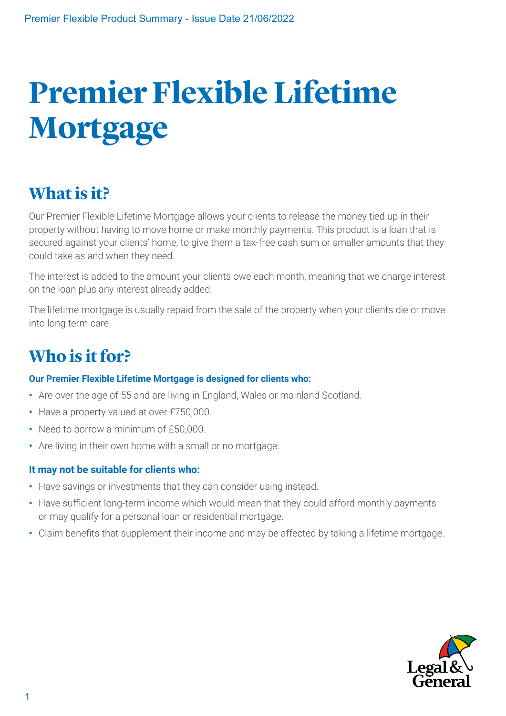# **Premier Flexible Lifetime Mortgage**

# **What is it?**

Our Premier Flexible Lifetime Mortgage allows your clients to release the money tied up in their property without having to move home or make monthly payments. This product is a loan that is secured against your clients' home, to give them a tax-free cash sum or smaller amounts that they could take as and when they need.

The interest is added to the amount your clients owe each month, meaning that we charge interest on the loan plus any interest already added.

The lifetime mortgage is usually repaid from the sale of the property when your clients die or move into long term care.

## **Who is it for?**

#### **Our Premier Flexible Lifetime Mortgage is designed for clients who:**

- **•** Are over the age of 55 and are living in England, Wales or mainland Scotland.
- **•** Have a property valued at over £750,000.
- **•** Need to borrow a minimum of £50,000.
- **•** Are living in their own home with a small or no mortgage.

#### **It may not be suitable for clients who:**

- **•** Have savings or investments that they can consider using instead.
- **•** Have sufficient long-term income which would mean that they could afford monthly payments or may qualify for a personal loan or residential mortgage.
- **•** Claim benefits that supplement their income and may be affected by taking a lifetime mortgage.

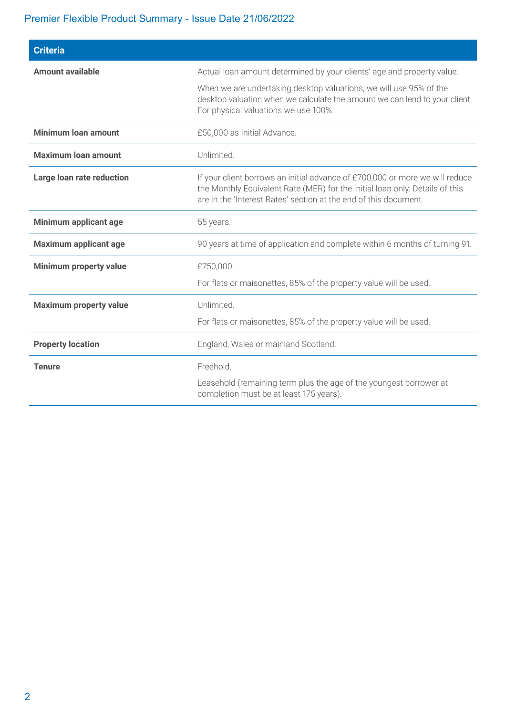## Premier Flexible Product Summary - Issue Date 21/06/2022

| <b>Criteria</b>               |                                                                                                                                                                                                                                  |  |  |  |  |
|-------------------------------|----------------------------------------------------------------------------------------------------------------------------------------------------------------------------------------------------------------------------------|--|--|--|--|
| <b>Amount available</b>       | Actual loan amount determined by your clients' age and property value.                                                                                                                                                           |  |  |  |  |
|                               | When we are undertaking desktop valuations, we will use 95% of the<br>desktop valuation when we calculate the amount we can lend to your client.<br>For physical valuations we use 100%.                                         |  |  |  |  |
| <b>Minimum loan amount</b>    | £50,000 as Initial Advance.                                                                                                                                                                                                      |  |  |  |  |
| <b>Maximum loan amount</b>    | Unlimited.                                                                                                                                                                                                                       |  |  |  |  |
| Large loan rate reduction     | If your client borrows an initial advance of £700,000 or more we will reduce<br>the Monthly Equivalent Rate (MER) for the initial loan only. Details of this<br>are in the 'Interest Rates' section at the end of this document. |  |  |  |  |
| Minimum applicant age         | 55 years.                                                                                                                                                                                                                        |  |  |  |  |
| <b>Maximum applicant age</b>  | 90 years at time of application and complete within 6 months of turning 91.                                                                                                                                                      |  |  |  |  |
| Minimum property value        | £750,000.                                                                                                                                                                                                                        |  |  |  |  |
|                               | For flats or maisonettes, 85% of the property value will be used.                                                                                                                                                                |  |  |  |  |
| <b>Maximum property value</b> | Unlimited.                                                                                                                                                                                                                       |  |  |  |  |
|                               | For flats or maisonettes, 85% of the property value will be used.                                                                                                                                                                |  |  |  |  |
| <b>Property location</b>      | England, Wales or mainland Scotland.                                                                                                                                                                                             |  |  |  |  |
| <b>Tenure</b>                 | Freehold.                                                                                                                                                                                                                        |  |  |  |  |
|                               | Leasehold (remaining term plus the age of the youngest borrower at<br>completion must be at least 175 years).                                                                                                                    |  |  |  |  |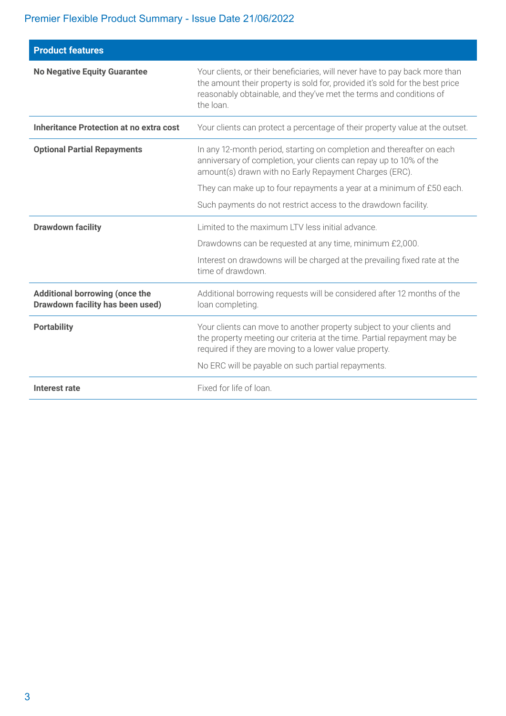## Premier Flexible Product Summary - Issue Date 21/06/2022

| <b>Product features</b>                                                   |                                                                                                                                                                                                                                                |  |  |  |
|---------------------------------------------------------------------------|------------------------------------------------------------------------------------------------------------------------------------------------------------------------------------------------------------------------------------------------|--|--|--|
| <b>No Negative Equity Guarantee</b>                                       | Your clients, or their beneficiaries, will never have to pay back more than<br>the amount their property is sold for, provided it's sold for the best price<br>reasonably obtainable, and they've met the terms and conditions of<br>the loan. |  |  |  |
| Inheritance Protection at no extra cost                                   | Your clients can protect a percentage of their property value at the outset.                                                                                                                                                                   |  |  |  |
| <b>Optional Partial Repayments</b>                                        | In any 12-month period, starting on completion and thereafter on each<br>anniversary of completion, your clients can repay up to 10% of the<br>amount(s) drawn with no Early Repayment Charges (ERC).                                          |  |  |  |
|                                                                           | They can make up to four repayments a year at a minimum of £50 each.                                                                                                                                                                           |  |  |  |
|                                                                           | Such payments do not restrict access to the drawdown facility.                                                                                                                                                                                 |  |  |  |
| <b>Drawdown facility</b>                                                  | Limited to the maximum LTV less initial advance.                                                                                                                                                                                               |  |  |  |
|                                                                           | Drawdowns can be requested at any time, minimum £2,000.                                                                                                                                                                                        |  |  |  |
|                                                                           | Interest on drawdowns will be charged at the prevailing fixed rate at the<br>time of drawdown.                                                                                                                                                 |  |  |  |
| <b>Additional borrowing (once the</b><br>Drawdown facility has been used) | Additional borrowing requests will be considered after 12 months of the<br>loan completing.                                                                                                                                                    |  |  |  |
| <b>Portability</b>                                                        | Your clients can move to another property subject to your clients and<br>the property meeting our criteria at the time. Partial repayment may be<br>required if they are moving to a lower value property.                                     |  |  |  |
|                                                                           | No ERC will be payable on such partial repayments.                                                                                                                                                                                             |  |  |  |
| Interest rate                                                             | Fixed for life of loan.                                                                                                                                                                                                                        |  |  |  |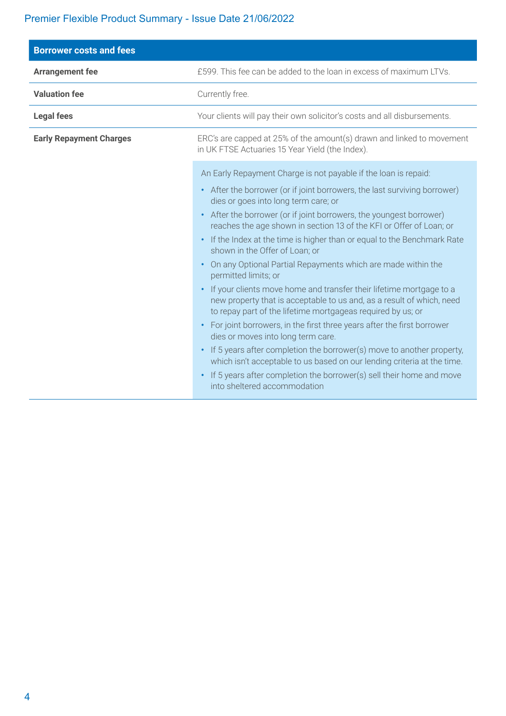## Premier Flexible Product Summary - Issue Date 21/06/2022

| <b>Borrower costs and fees</b> |                                                                                                                                                                                                                                                                                                                                                                                                                                                                                                                                                                                                                                                                                                                                                                                                                                                                                                                                                                                                                                                                                                                                         |  |  |  |
|--------------------------------|-----------------------------------------------------------------------------------------------------------------------------------------------------------------------------------------------------------------------------------------------------------------------------------------------------------------------------------------------------------------------------------------------------------------------------------------------------------------------------------------------------------------------------------------------------------------------------------------------------------------------------------------------------------------------------------------------------------------------------------------------------------------------------------------------------------------------------------------------------------------------------------------------------------------------------------------------------------------------------------------------------------------------------------------------------------------------------------------------------------------------------------------|--|--|--|
| <b>Arrangement fee</b>         | £599. This fee can be added to the loan in excess of maximum LTVs.                                                                                                                                                                                                                                                                                                                                                                                                                                                                                                                                                                                                                                                                                                                                                                                                                                                                                                                                                                                                                                                                      |  |  |  |
| <b>Valuation fee</b>           | Currently free.                                                                                                                                                                                                                                                                                                                                                                                                                                                                                                                                                                                                                                                                                                                                                                                                                                                                                                                                                                                                                                                                                                                         |  |  |  |
| <b>Legal fees</b>              | Your clients will pay their own solicitor's costs and all disbursements.                                                                                                                                                                                                                                                                                                                                                                                                                                                                                                                                                                                                                                                                                                                                                                                                                                                                                                                                                                                                                                                                |  |  |  |
| <b>Early Repayment Charges</b> | ERC's are capped at 25% of the amount(s) drawn and linked to movement<br>in UK FTSE Actuaries 15 Year Yield (the Index).                                                                                                                                                                                                                                                                                                                                                                                                                                                                                                                                                                                                                                                                                                                                                                                                                                                                                                                                                                                                                |  |  |  |
|                                | An Early Repayment Charge is not payable if the loan is repaid:<br>• After the borrower (or if joint borrowers, the last surviving borrower)<br>dies or goes into long term care; or<br>• After the borrower (or if joint borrowers, the youngest borrower)<br>reaches the age shown in section 13 of the KFI or Offer of Loan; or<br>• If the Index at the time is higher than or equal to the Benchmark Rate<br>shown in the Offer of Loan; or<br>On any Optional Partial Repayments which are made within the<br>permitted limits; or<br>If your clients move home and transfer their lifetime mortgage to a<br>new property that is acceptable to us and, as a result of which, need<br>to repay part of the lifetime mortgageas required by us; or<br>• For joint borrowers, in the first three years after the first borrower<br>dies or moves into long term care.<br>• If 5 years after completion the borrower(s) move to another property,<br>which isn't acceptable to us based on our lending criteria at the time.<br>If 5 years after completion the borrower(s) sell their home and move<br>into sheltered accommodation |  |  |  |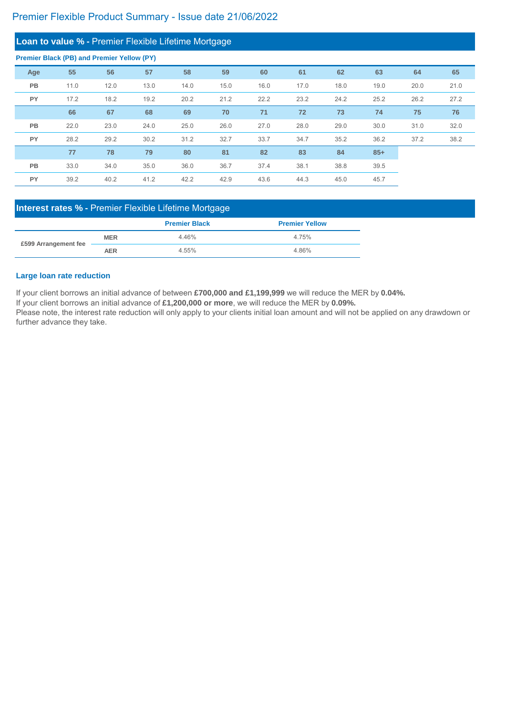|           | Loan to value % - Premier Flexible Lifetime Mortgage |      |      |      |      |      |      |      |       |      |      |
|-----------|------------------------------------------------------|------|------|------|------|------|------|------|-------|------|------|
|           | <b>Premier Black (PB) and Premier Yellow (PY)</b>    |      |      |      |      |      |      |      |       |      |      |
| Age       | 55                                                   | 56   | 57   | 58   | 59   | 60   | 61   | 62   | 63    | 64   | 65   |
| <b>PB</b> | 11.0                                                 | 12.0 | 13.0 | 14.0 | 15.0 | 16.0 | 17.0 | 18.0 | 19.0  | 20.0 | 21.0 |
| <b>PY</b> | 17.2                                                 | 18.2 | 19.2 | 20.2 | 21.2 | 22.2 | 23.2 | 24.2 | 25.2  | 26.2 | 27.2 |
|           | 66                                                   | 67   | 68   | 69   | 70   | 71   | 72   | 73   | 74    | 75   | 76   |
| <b>PB</b> | 22.0                                                 | 23.0 | 24.0 | 25.0 | 26.0 | 27.0 | 28.0 | 29.0 | 30.0  | 31.0 | 32.0 |
| <b>PY</b> | 28.2                                                 | 29.2 | 30.2 | 31.2 | 32.7 | 33.7 | 34.7 | 35.2 | 36.2  | 37.2 | 38.2 |
|           | 77                                                   | 78   | 79   | 80   | 81   | 82   | 83   | 84   | $85+$ |      |      |
| <b>PB</b> | 33.0                                                 | 34.0 | 35.0 | 36.0 | 36.7 | 37.4 | 38.1 | 38.8 | 39.5  |      |      |
| <b>PY</b> | 39.2                                                 | 40.2 | 41.2 | 42.2 | 42.9 | 43.6 | 44.3 | 45.0 | 45.7  |      |      |

Please note, the interest rate reduction will only apply to your clients initial loan amount and will not be applied on any drawdown or further advance they take.

If your client borrows an initial advance of between **£700,000 and £1,199,999** we will reduce the MER by **0.04%.**

If your client borrows an initial advance of **£1,200,000 or more**, we will reduce the MER by **0.09%.**

#### **Large loan rate reduction**

|                      |            | <b>Premier Black</b> | <b>Premier Yellow</b> |
|----------------------|------------|----------------------|-----------------------|
| £599 Arrangement fee | <b>MER</b> | 4.46%                | 4.75%                 |
|                      | AER        | 4.55%                | 4.86%                 |

## **Interest rates % -** Premier Flexible Lifetime Mortgage

## Premier Flexible Product Summary - Issue date 21/06/2022